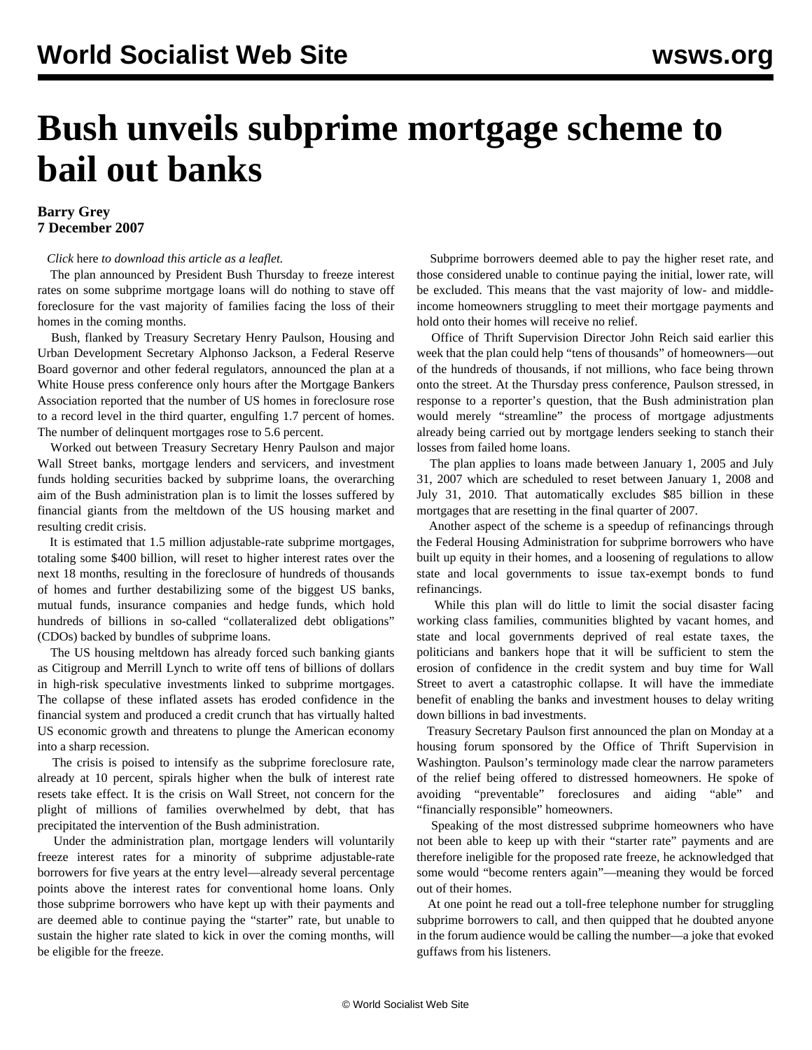## **Bush unveils subprime mortgage scheme to bail out banks**

## **Barry Grey 7 December 2007**

*Click* here *to download this article as a leaflet.*

 The plan announced by President Bush Thursday to freeze interest rates on some subprime mortgage loans will do nothing to stave off foreclosure for the vast majority of families facing the loss of their homes in the coming months.

 Bush, flanked by Treasury Secretary Henry Paulson, Housing and Urban Development Secretary Alphonso Jackson, a Federal Reserve Board governor and other federal regulators, announced the plan at a White House press conference only hours after the Mortgage Bankers Association reported that the number of US homes in foreclosure rose to a record level in the third quarter, engulfing 1.7 percent of homes. The number of delinquent mortgages rose to 5.6 percent.

 Worked out between Treasury Secretary Henry Paulson and major Wall Street banks, mortgage lenders and servicers, and investment funds holding securities backed by subprime loans, the overarching aim of the Bush administration plan is to limit the losses suffered by financial giants from the meltdown of the US housing market and resulting credit crisis.

 It is estimated that 1.5 million adjustable-rate subprime mortgages, totaling some \$400 billion, will reset to higher interest rates over the next 18 months, resulting in the foreclosure of hundreds of thousands of homes and further destabilizing some of the biggest US banks, mutual funds, insurance companies and hedge funds, which hold hundreds of billions in so-called "collateralized debt obligations" (CDOs) backed by bundles of subprime loans.

 The US housing meltdown has already forced such banking giants as Citigroup and Merrill Lynch to write off tens of billions of dollars in high-risk speculative investments linked to subprime mortgages. The collapse of these inflated assets has eroded confidence in the financial system and produced a credit crunch that has virtually halted US economic growth and threatens to plunge the American economy into a sharp recession.

 The crisis is poised to intensify as the subprime foreclosure rate, already at 10 percent, spirals higher when the bulk of interest rate resets take effect. It is the crisis on Wall Street, not concern for the plight of millions of families overwhelmed by debt, that has precipitated the intervention of the Bush administration.

 Under the administration plan, mortgage lenders will voluntarily freeze interest rates for a minority of subprime adjustable-rate borrowers for five years at the entry level—already several percentage points above the interest rates for conventional home loans. Only those subprime borrowers who have kept up with their payments and are deemed able to continue paying the "starter" rate, but unable to sustain the higher rate slated to kick in over the coming months, will be eligible for the freeze.

 Subprime borrowers deemed able to pay the higher reset rate, and those considered unable to continue paying the initial, lower rate, will be excluded. This means that the vast majority of low- and middleincome homeowners struggling to meet their mortgage payments and hold onto their homes will receive no relief.

 Office of Thrift Supervision Director John Reich said earlier this week that the plan could help "tens of thousands" of homeowners—out of the hundreds of thousands, if not millions, who face being thrown onto the street. At the Thursday press conference, Paulson stressed, in response to a reporter's question, that the Bush administration plan would merely "streamline" the process of mortgage adjustments already being carried out by mortgage lenders seeking to stanch their losses from failed home loans.

 The plan applies to loans made between January 1, 2005 and July 31, 2007 which are scheduled to reset between January 1, 2008 and July 31, 2010. That automatically excludes \$85 billion in these mortgages that are resetting in the final quarter of 2007.

 Another aspect of the scheme is a speedup of refinancings through the Federal Housing Administration for subprime borrowers who have built up equity in their homes, and a loosening of regulations to allow state and local governments to issue tax-exempt bonds to fund refinancings.

 While this plan will do little to limit the social disaster facing working class families, communities blighted by vacant homes, and state and local governments deprived of real estate taxes, the politicians and bankers hope that it will be sufficient to stem the erosion of confidence in the credit system and buy time for Wall Street to avert a catastrophic collapse. It will have the immediate benefit of enabling the banks and investment houses to delay writing down billions in bad investments.

 Treasury Secretary Paulson first announced the plan on Monday at a housing forum sponsored by the Office of Thrift Supervision in Washington. Paulson's terminology made clear the narrow parameters of the relief being offered to distressed homeowners. He spoke of avoiding "preventable" foreclosures and aiding "able" and "financially responsible" homeowners.

 Speaking of the most distressed subprime homeowners who have not been able to keep up with their "starter rate" payments and are therefore ineligible for the proposed rate freeze, he acknowledged that some would "become renters again"—meaning they would be forced out of their homes.

 At one point he read out a toll-free telephone number for struggling subprime borrowers to call, and then quipped that he doubted anyone in the forum audience would be calling the number—a joke that evoked guffaws from his listeners.